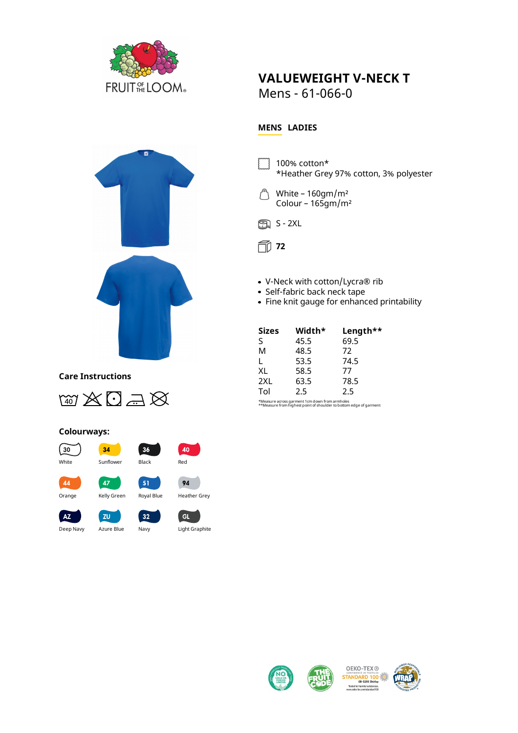

## **VALUEWEIGHT V-NECK T**

Mens - 61-066-0

## **MENS LADIES**

100% cotton\* \*Heather Grey 97% cotton, 3% polyester





**72**

- V-Neck with cotton/Lycra® rib
- Self-fabric back neck tape
- Fine knit gauge for enhanced printability

| <b>Sizes</b> | Width* | Length** |
|--------------|--------|----------|
| S            | 45.5   | 69.5     |
| M            | 48.5   | 72       |
| L            | 53.5   | 74.5     |
| XL           | 58.5   | 77       |
| 2XL          | 63.5   | 78.5     |
| Tol          | 2.5    | 2.5      |

\*Measure across garment 1cm down from armholes \*\*Measure from highest point of shoulder to bottom edge of garment



## **Care Instructions**



## **Colourways:**



Deep Navy Azure Blue Navy Light Graphite